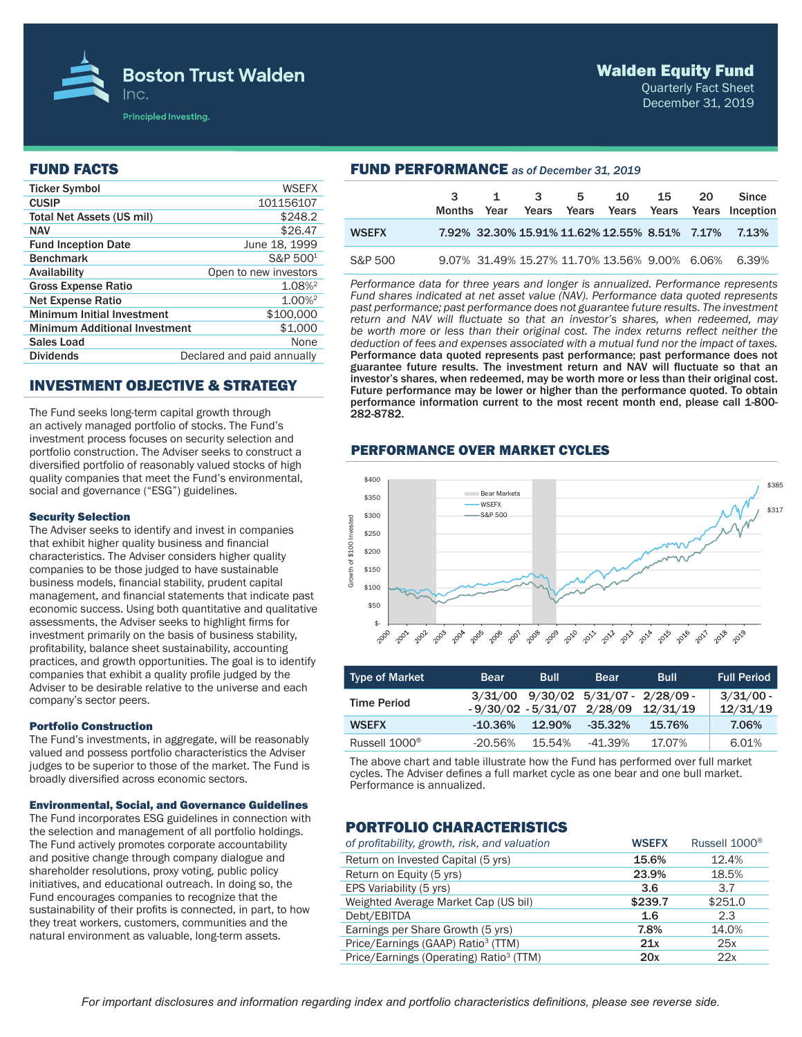

## Walden Equity Fund

Quarterly Fact Sheet December 31, 2019

### FUND FACTS

| <b>Ticker Symbol</b>                 | <b>WSEFX</b>               |
|--------------------------------------|----------------------------|
| <b>CUSIP</b>                         | 101156107                  |
| Total Net Assets (US mil)            | \$248.2                    |
| <b>NAV</b>                           | \$26.47                    |
| <b>Fund Inception Date</b>           | June 18, 1999              |
| <b>Benchmark</b>                     | S&P 500 <sup>1</sup>       |
| Availability                         | Open to new investors      |
| <b>Gross Expense Ratio</b>           | 1.08% <sup>2</sup>         |
| <b>Net Expense Ratio</b>             | 1.00% <sup>2</sup>         |
| <b>Minimum Initial Investment</b>    | \$100,000                  |
| <b>Minimum Additional Investment</b> | \$1,000                    |
| Sales Load                           | None                       |
| <b>Dividends</b>                     | Declared and paid annually |
|                                      |                            |

# INVESTMENT OBJECTIVE & STRATEGY

The Fund seeks long-term capital growth through an actively managed portfolio of stocks. The Fund's investment process focuses on security selection and portfolio construction. The Adviser seeks to construct a diversified portfolio of reasonably valued stocks of high quality companies that meet the Fund's environmental, social and governance ("ESG") guidelines.

#### Security Selection

The Adviser seeks to identify and invest in companies that exhibit higher quality business and financial characteristics. The Adviser considers higher quality companies to be those judged to have sustainable business models, financial stability, prudent capital management, and financial statements that indicate past economic success. Using both quantitative and qualitative assessments, the Adviser seeks to highlight firms for investment primarily on the basis of business stability, profitability, balance sheet sustainability, accounting practices, and growth opportunities. The goal is to identify companies that exhibit a quality profile judged by the Adviser to be desirable relative to the universe and each company's sector peers.

#### Portfolio Construction

The Fund's investments, in aggregate, will be reasonably valued and possess portfolio characteristics the Adviser judges to be superior to those of the market. The Fund is broadly diversified across economic sectors.

#### Environmental, Social, and Governance Guidelines

The Fund incorporates ESG guidelines in connection with the selection and management of all portfolio holdings. The Fund actively promotes corporate accountability and positive change through company dialogue and shareholder resolutions, proxy voting, public policy initiatives, and educational outreach. In doing so, the Fund encourages companies to recognize that the sustainability of their profits is connected, in part, to how they treat workers, customers, communities and the natural environment as valuable, long-term assets.

| <b>FUND PERFORMANCE</b> as of December 31, 2019 |                       |      |  |                     |    |    |    |                                                         |  |
|-------------------------------------------------|-----------------------|------|--|---------------------|----|----|----|---------------------------------------------------------|--|
|                                                 | $3^{\circ}$<br>Months | Year |  | $1 \quad 3 \quad 5$ | 10 | 15 | 20 | <b>Since</b><br>Years Years Years Years Years Inception |  |
| <b>WSEFX</b>                                    |                       |      |  |                     |    |    |    | 7.92% 32.30% 15.91% 11.62% 12.55% 8.51% 7.17% 7.13%     |  |
| S&P 500                                         |                       |      |  |                     |    |    |    | 9.07% 31.49% 15.27% 11.70% 13.56% 9.00% 6.06% 6.39%     |  |

*Performance data for three years and longer is annualized. Performance represents Fund shares indicated at net asset value (NAV). Performance data quoted represents past performance; past performance does not guarantee future results. The investment return and NAV will fluctuate so that an investor's shares, when redeemed, may be worth more or less than their original cost. The index returns reflect neither the deduction of fees and expenses associated with a mutual fund nor the impact of taxes.*  Performance data quoted represents past performance; past performance does not guarantee future results. The investment return and NAV will fluctuate so that an investor's shares, when redeemed, may be worth more or less than their original cost. Future performance may be lower or higher than the performance quoted. To obtain performance information current to the most recent month end, please call 1-800- 282-8782.

### PERFORMANCE OVER MARKET CYCLES



| <b>Type of Market</b>     | <b>Bear</b> | <b>Bull</b> | <b>Bear</b>                                 | Bull                                  | <b>Full Period</b>      |
|---------------------------|-------------|-------------|---------------------------------------------|---------------------------------------|-------------------------|
| <b>Time Period</b>        |             |             | $3/31/00$ $9/30/02$ $5/31/07$ $- 2/28/09$ - | $-9/30/02 - 5/31/07$ 2/28/09 12/31/19 | $3/31/00$ -<br>12/31/19 |
| <b>WSEFX</b>              | $-10.36\%$  | 12.90%      | $-35.32\%$                                  | 15.76%                                | 7.06%                   |
| Russell 1000 <sup>®</sup> | $-20.56%$   | 15.54%      | -41.39%                                     | 17.07%                                | 6.01%                   |

The above chart and table illustrate how the Fund has performed over full market cycles. The Adviser defines a full market cycle as one bear and one bull market. Performance is annualized.

# PORTFOLIO CHARACTERISTICS

| of profitability, growth, risk, and valuation       | <b>WSEFX</b> | Russell 1000 <sup>®</sup> |
|-----------------------------------------------------|--------------|---------------------------|
| Return on Invested Capital (5 yrs)                  | 15.6%        | 12.4%                     |
| Return on Equity (5 yrs)                            | 23.9%        | 18.5%                     |
| EPS Variability (5 yrs)                             | 3.6          | 3.7                       |
| Weighted Average Market Cap (US bil)                | \$239.7      | \$251.0                   |
| Debt/EBITDA                                         | 1.6          | 2.3                       |
| Earnings per Share Growth (5 yrs)                   | 7.8%         | 14.0%                     |
| Price/Earnings (GAAP) Ratio <sup>3</sup> (TTM)      | 21x          | 25x                       |
| Price/Earnings (Operating) Ratio <sup>3</sup> (TTM) | 20x          | 22x                       |